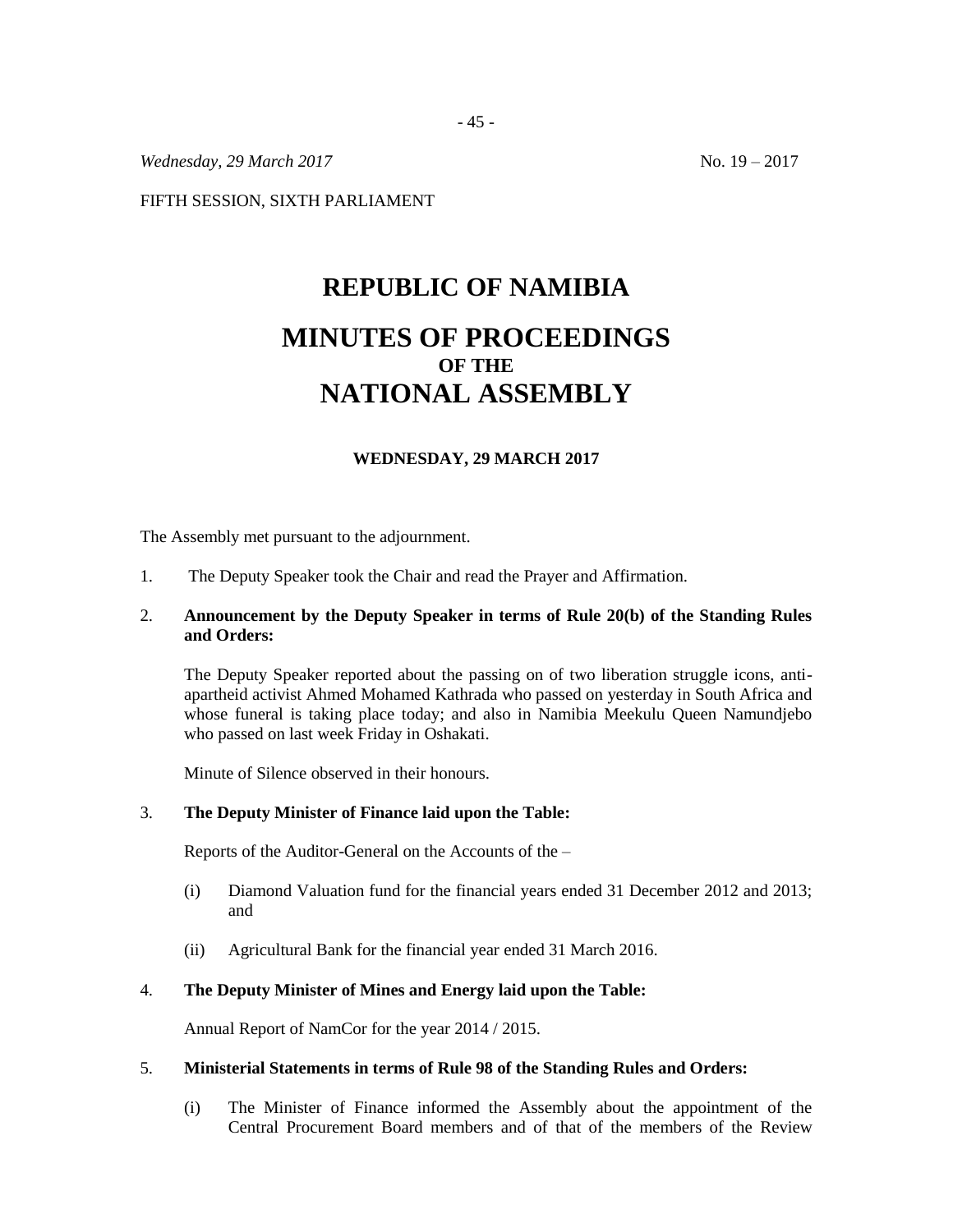*Wednesday, 29 March 2017* No. 19 – 2017

FIFTH SESSION, SIXTH PARLIAMENT

# **REPUBLIC OF NAMIBIA MINUTES OF PROCEEDINGS OF THE NATIONAL ASSEMBLY**

# **WEDNESDAY, 29 MARCH 2017**

The Assembly met pursuant to the adjournment.

1. The Deputy Speaker took the Chair and read the Prayer and Affirmation.

# 2. **Announcement by the Deputy Speaker in terms of Rule 20(b) of the Standing Rules and Orders:**

The Deputy Speaker reported about the passing on of two liberation struggle icons, antiapartheid activist Ahmed Mohamed Kathrada who passed on yesterday in South Africa and whose funeral is taking place today; and also in Namibia Meekulu Queen Namundjebo who passed on last week Friday in Oshakati.

Minute of Silence observed in their honours.

### 3. **The Deputy Minister of Finance laid upon the Table:**

Reports of the Auditor-General on the Accounts of the –

- (i) Diamond Valuation fund for the financial years ended 31 December 2012 and 2013; and
- (ii) Agricultural Bank for the financial year ended 31 March 2016.

#### 4. **The Deputy Minister of Mines and Energy laid upon the Table:**

Annual Report of NamCor for the year 2014 / 2015.

### 5. **Ministerial Statements in terms of Rule 98 of the Standing Rules and Orders:**

(i) The Minister of Finance informed the Assembly about the appointment of the Central Procurement Board members and of that of the members of the Review